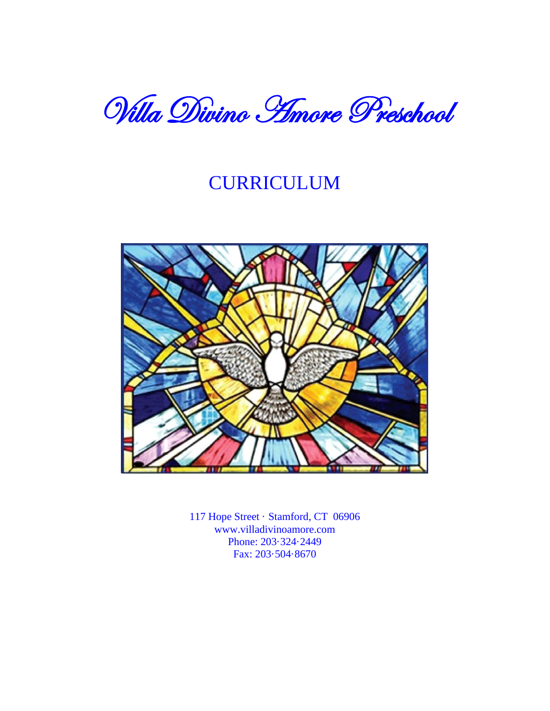

# CURRICULUM



117 Hope Street · Stamford, CT 06906 www.villadivinoamore.com Phone: 203·324·2449 Fax: 203·504·8670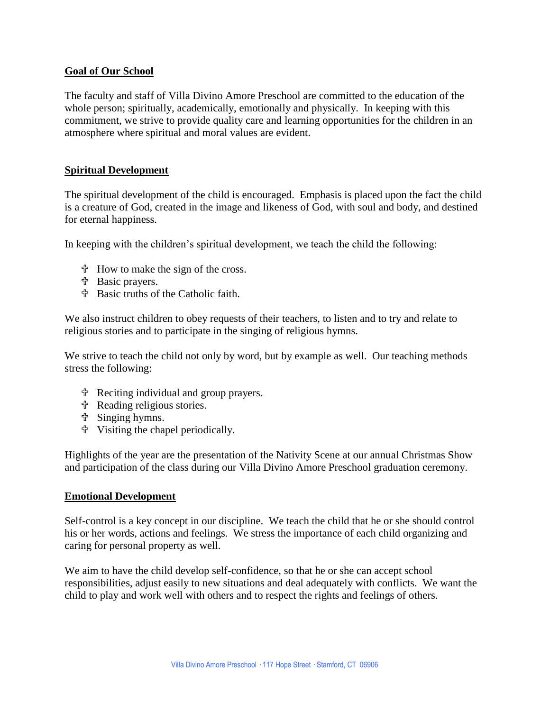# **Goal of Our School**

The faculty and staff of Villa Divino Amore Preschool are committed to the education of the whole person; spiritually, academically, emotionally and physically. In keeping with this commitment, we strive to provide quality care and learning opportunities for the children in an atmosphere where spiritual and moral values are evident.

# **Spiritual Development**

The spiritual development of the child is encouraged. Emphasis is placed upon the fact the child is a creature of God, created in the image and likeness of God, with soul and body, and destined for eternal happiness.

In keeping with the children's spiritual development, we teach the child the following:

- $\ddot{\mathcal{F}}$  How to make the sign of the cross.
- Basic prayers.
- Basic truths of the Catholic faith.

We also instruct children to obey requests of their teachers, to listen and to try and relate to religious stories and to participate in the singing of religious hymns.

We strive to teach the child not only by word, but by example as well. Our teaching methods stress the following:

- Reciting individual and group prayers.
- Reading religious stories.
- Singing hymns.
- Visiting the chapel periodically.

Highlights of the year are the presentation of the Nativity Scene at our annual Christmas Show and participation of the class during our Villa Divino Amore Preschool graduation ceremony.

#### **Emotional Development**

Self-control is a key concept in our discipline. We teach the child that he or she should control his or her words, actions and feelings. We stress the importance of each child organizing and caring for personal property as well.

We aim to have the child develop self-confidence, so that he or she can accept school responsibilities, adjust easily to new situations and deal adequately with conflicts. We want the child to play and work well with others and to respect the rights and feelings of others.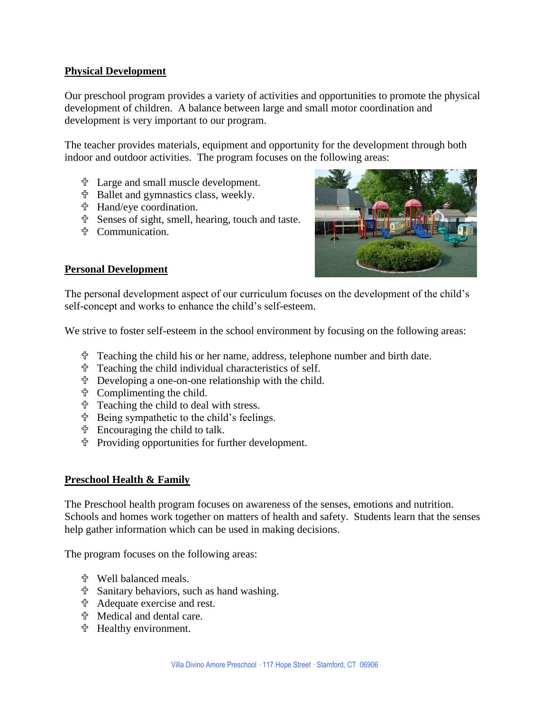# **Physical Development**

Our preschool program provides a variety of activities and opportunities to promote the physical development of children. A balance between large and small motor coordination and development is very important to our program.

The teacher provides materials, equipment and opportunity for the development through both indoor and outdoor activities. The program focuses on the following areas:

- Large and small muscle development.
- Ballet and gymnastics class, weekly.
- Hand/eye coordination.
- Senses of sight, smell, hearing, touch and taste.
- Communication.



# **Personal Development**

The personal development aspect of our curriculum focuses on the development of the child's self-concept and works to enhance the child's self-esteem.

We strive to foster self-esteem in the school environment by focusing on the following areas:

- Teaching the child his or her name, address, telephone number and birth date.
- Teaching the child individual characteristics of self.
- Developing a one-on-one relationship with the child.
- Complimenting the child.
- Teaching the child to deal with stress.
- Being sympathetic to the child's feelings.
- Encouraging the child to talk.
- Providing opportunities for further development.

# **Preschool Health & Family**

The Preschool health program focuses on awareness of the senses, emotions and nutrition. Schools and homes work together on matters of health and safety. Students learn that the senses help gather information which can be used in making decisions.

The program focuses on the following areas:

- Well balanced meals.
- Sanitary behaviors, such as hand washing.
- Adequate exercise and rest.
- Medical and dental care.
- Healthy environment.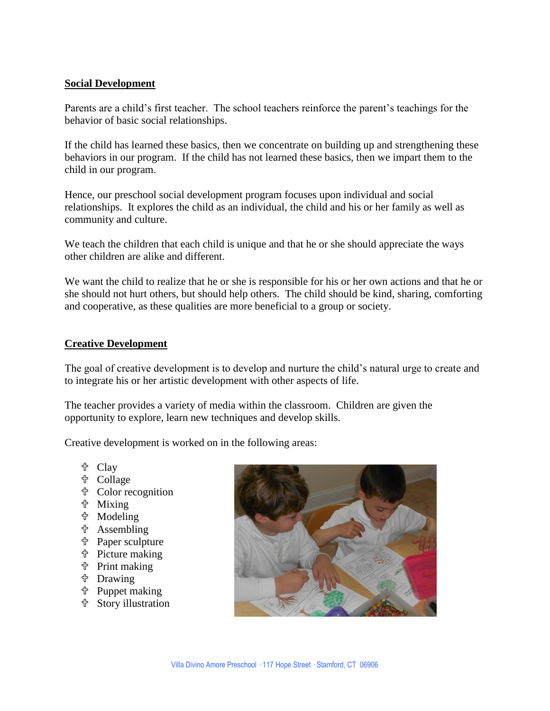# **Social Development**

Parents are a child's first teacher. The school teachers reinforce the parent's teachings for the behavior of basic social relationships.

If the child has learned these basics, then we concentrate on building up and strengthening these behaviors in our program. If the child has not learned these basics, then we impart them to the child in our program.

Hence, our preschool social development program focuses upon individual and social relationships. It explores the child as an individual, the child and his or her family as well as community and culture.

We teach the children that each child is unique and that he or she should appreciate the ways other children are alike and different.

We want the child to realize that he or she is responsible for his or her own actions and that he or she should not hurt others, but should help others. The child should be kind, sharing, comforting and cooperative, as these qualities are more beneficial to a group or society.

# **Creative Development**

The goal of creative development is to develop and nurture the child's natural urge to create and to integrate his or her artistic development with other aspects of life.

The teacher provides a variety of media within the classroom. Children are given the opportunity to explore, learn new techniques and develop skills.

Creative development is worked on in the following areas:

- <sup>中</sup> Clay
- **t** Collage
- Color recognition
- **the Mixing**
- **th** Modeling
- **the Assembling**
- **the Paper sculpture**
- Picture making
- **t** Print making
- **t** Drawing
- Puppet making
- Story illustration

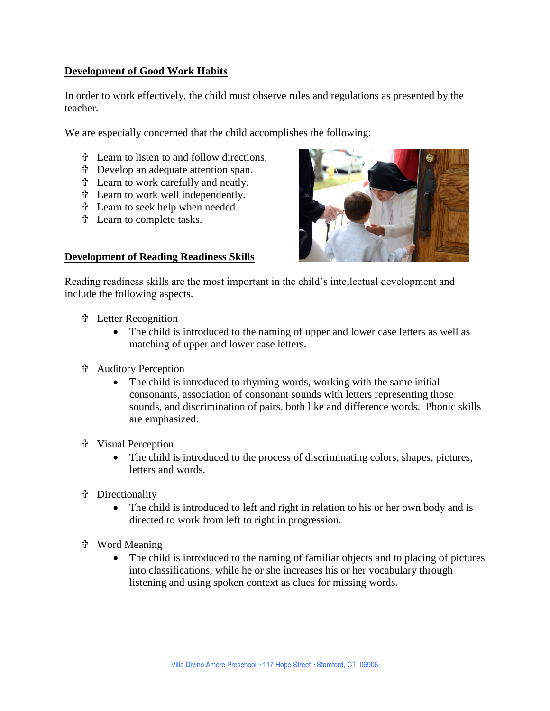# **Development of Good Work Habits**

In order to work effectively, the child must observe rules and regulations as presented by the teacher.

We are especially concerned that the child accomplishes the following:

- Learn to listen to and follow directions.
- Develop an adequate attention span.
- Learn to work carefully and neatly.
- Learn to work well independently.
- Learn to seek help when needed.
- Learn to complete tasks.

#### **Development of Reading Readiness Skills**



Reading readiness skills are the most important in the child's intellectual development and include the following aspects.

- Letter Recognition
	- The child is introduced to the naming of upper and lower case letters as well as matching of upper and lower case letters.
- **十 Auditory Perception** 
	- The child is introduced to rhyming words, working with the same initial consonants, association of consonant sounds with letters representing those sounds, and discrimination of pairs, both like and difference words. Phonic skills are emphasized.
- Visual Perception
	- The child is introduced to the process of discriminating colors, shapes, pictures, letters and words.
- **t** Directionality
	- The child is introduced to left and right in relation to his or her own body and is directed to work from left to right in progression.
- Word Meaning
	- The child is introduced to the naming of familiar objects and to placing of pictures into classifications, while he or she increases his or her vocabulary through listening and using spoken context as clues for missing words.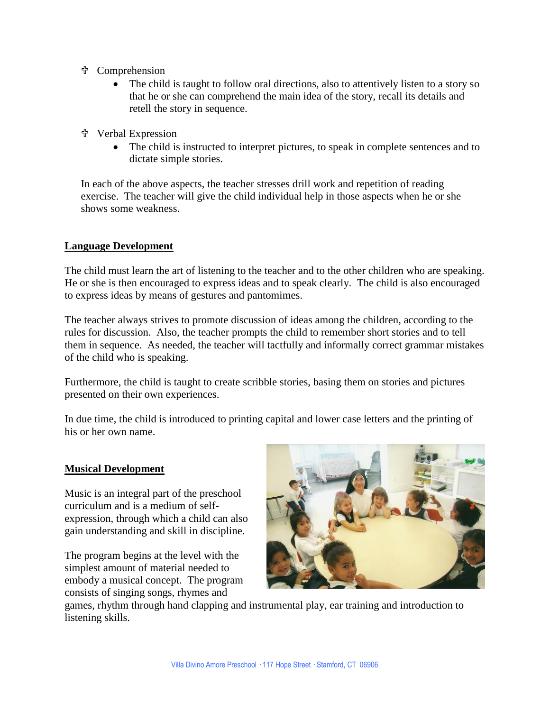- Comprehension
	- The child is taught to follow oral directions, also to attentively listen to a story so that he or she can comprehend the main idea of the story, recall its details and retell the story in sequence.
- Verbal Expression
	- The child is instructed to interpret pictures, to speak in complete sentences and to dictate simple stories.

In each of the above aspects, the teacher stresses drill work and repetition of reading exercise. The teacher will give the child individual help in those aspects when he or she shows some weakness.

# **Language Development**

The child must learn the art of listening to the teacher and to the other children who are speaking. He or she is then encouraged to express ideas and to speak clearly. The child is also encouraged to express ideas by means of gestures and pantomimes.

The teacher always strives to promote discussion of ideas among the children, according to the rules for discussion. Also, the teacher prompts the child to remember short stories and to tell them in sequence. As needed, the teacher will tactfully and informally correct grammar mistakes of the child who is speaking.

Furthermore, the child is taught to create scribble stories, basing them on stories and pictures presented on their own experiences.

In due time, the child is introduced to printing capital and lower case letters and the printing of his or her own name.

# **Musical Development**

Music is an integral part of the preschool curriculum and is a medium of selfexpression, through which a child can also gain understanding and skill in discipline.

The program begins at the level with the simplest amount of material needed to embody a musical concept. The program consists of singing songs, rhymes and



games, rhythm through hand clapping and instrumental play, ear training and introduction to listening skills.